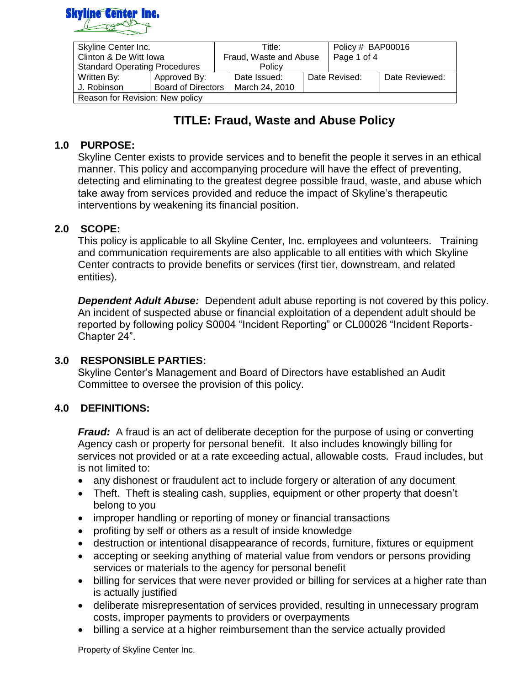

| Skyline Center Inc.                  |                           | Title:                 |                | Policy # BAP00016 |               |                |
|--------------------------------------|---------------------------|------------------------|----------------|-------------------|---------------|----------------|
| Clinton & De Witt Iowa               |                           | Fraud, Waste and Abuse |                | Page 1 of 4       |               |                |
| <b>Standard Operating Procedures</b> |                           | Policy                 |                |                   |               |                |
| Written By:                          | Approved By:              |                        | Date Issued:   |                   | Date Revised: | Date Reviewed: |
| J. Robinson                          | <b>Board of Directors</b> |                        | March 24, 2010 |                   |               |                |
| Reason for Revision: New policy      |                           |                        |                |                   |               |                |

## **1.0 PURPOSE:**

Skyline Center exists to provide services and to benefit the people it serves in an ethical manner. This policy and accompanying procedure will have the effect of preventing, detecting and eliminating to the greatest degree possible fraud, waste, and abuse which take away from services provided and reduce the impact of Skyline's therapeutic interventions by weakening its financial position.

#### **2.0 SCOPE:**

This policy is applicable to all Skyline Center, Inc. employees and volunteers. Training and communication requirements are also applicable to all entities with which Skyline Center contracts to provide benefits or services (first tier, downstream, and related entities).

**Dependent Adult Abuse:** Dependent adult abuse reporting is not covered by this policy. An incident of suspected abuse or financial exploitation of a dependent adult should be reported by following policy S0004 "Incident Reporting" or CL00026 "Incident Reports-Chapter 24".

#### **3.0 RESPONSIBLE PARTIES:**

Skyline Center's Management and Board of Directors have established an Audit Committee to oversee the provision of this policy.

#### **4.0 DEFINITIONS:**

*Fraud:* A fraud is an act of deliberate deception for the purpose of using or converting Agency cash or property for personal benefit. It also includes knowingly billing for services not provided or at a rate exceeding actual, allowable costs. Fraud includes, but is not limited to:

- any dishonest or fraudulent act to include forgery or alteration of any document
- Theft. Theft is stealing cash, supplies, equipment or other property that doesn't belong to you
- improper handling or reporting of money or financial transactions
- profiting by self or others as a result of inside knowledge
- destruction or intentional disappearance of records, furniture, fixtures or equipment
- accepting or seeking anything of material value from vendors or persons providing services or materials to the agency for personal benefit
- billing for services that were never provided or billing for services at a higher rate than is actually justified
- deliberate misrepresentation of services provided, resulting in unnecessary program costs, improper payments to providers or overpayments
- billing a service at a higher reimbursement than the service actually provided

Property of Skyline Center Inc.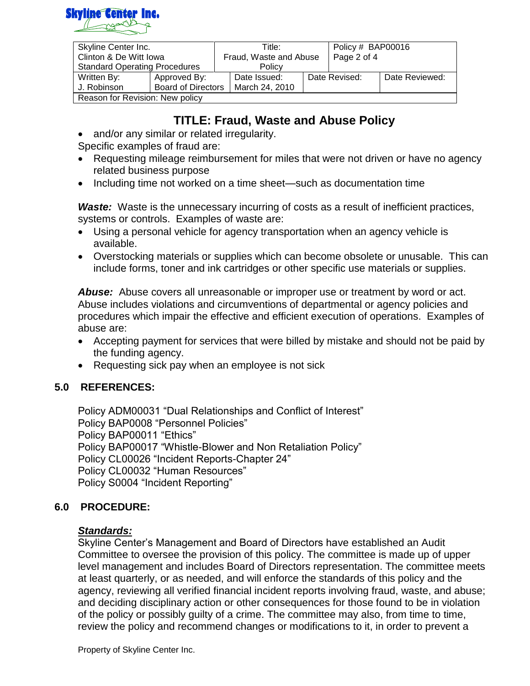

| Skyline Center Inc.                  |                           | Title:                 |                | Policy # BAP00016 |               |                |
|--------------------------------------|---------------------------|------------------------|----------------|-------------------|---------------|----------------|
| Clinton & De Witt Iowa               |                           | Fraud, Waste and Abuse |                | Page 2 of 4       |               |                |
| <b>Standard Operating Procedures</b> |                           | Policy                 |                |                   |               |                |
| Written By:                          | Approved By:              |                        | Date Issued:   |                   | Date Revised: | Date Reviewed: |
| J. Robinson                          | <b>Board of Directors</b> |                        | March 24, 2010 |                   |               |                |
| Reason for Revision: New policy      |                           |                        |                |                   |               |                |

and/or any similar or related irregularity.

Specific examples of fraud are:

- Requesting mileage reimbursement for miles that were not driven or have no agency related business purpose
- Including time not worked on a time sheet—such as documentation time

**Waste:** Waste is the unnecessary incurring of costs as a result of inefficient practices, systems or controls. Examples of waste are:

- Using a personal vehicle for agency transportation when an agency vehicle is available.
- Overstocking materials or supplies which can become obsolete or unusable. This can include forms, toner and ink cartridges or other specific use materials or supplies.

*Abuse:* Abuse covers all unreasonable or improper use or treatment by word or act. Abuse includes violations and circumventions of departmental or agency policies and procedures which impair the effective and efficient execution of operations. Examples of abuse are:

- Accepting payment for services that were billed by mistake and should not be paid by the funding agency.
- Requesting sick pay when an employee is not sick

## **5.0 REFERENCES:**

Policy ADM00031 "Dual Relationships and Conflict of Interest" Policy BAP0008 "Personnel Policies" Policy BAP00011 "Ethics" Policy BAP00017 "Whistle-Blower and Non Retaliation Policy" Policy CL00026 "Incident Reports-Chapter 24" Policy CL00032 "Human Resources" Policy S0004 "Incident Reporting"

## **6.0 PROCEDURE:**

#### *Standards:*

Skyline Center's Management and Board of Directors have established an Audit Committee to oversee the provision of this policy. The committee is made up of upper level management and includes Board of Directors representation. The committee meets at least quarterly, or as needed, and will enforce the standards of this policy and the agency, reviewing all verified financial incident reports involving fraud, waste, and abuse; and deciding disciplinary action or other consequences for those found to be in violation of the policy or possibly guilty of a crime. The committee may also, from time to time, review the policy and recommend changes or modifications to it, in order to prevent a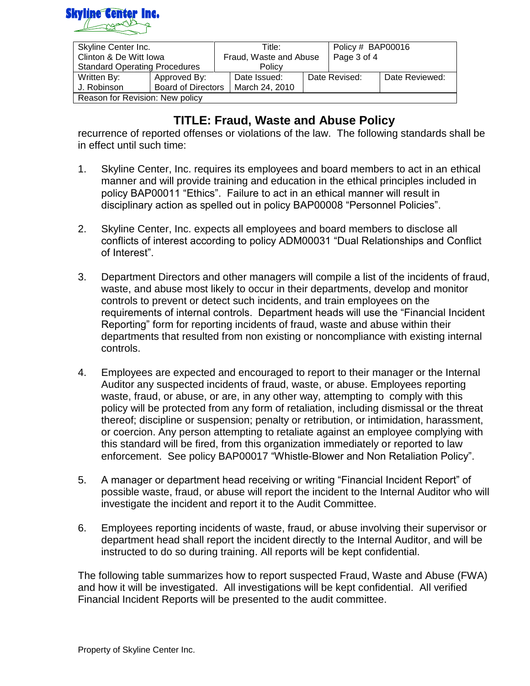

| Skyline Center Inc.                  |                           | Title:                 |                | Policy # BAP00016 |               |                |
|--------------------------------------|---------------------------|------------------------|----------------|-------------------|---------------|----------------|
| Clinton & De Witt Iowa               |                           | Fraud, Waste and Abuse |                | Page 3 of 4       |               |                |
| <b>Standard Operating Procedures</b> |                           | Policy                 |                |                   |               |                |
| Written By:                          | Approved By:              |                        | Date Issued:   |                   | Date Revised: | Date Reviewed: |
| J. Robinson                          | <b>Board of Directors</b> |                        | March 24, 2010 |                   |               |                |
| Reason for Revision: New policy      |                           |                        |                |                   |               |                |

recurrence of reported offenses or violations of the law. The following standards shall be in effect until such time:

- 1. Skyline Center, Inc. requires its employees and board members to act in an ethical manner and will provide training and education in the ethical principles included in policy BAP00011 "Ethics". Failure to act in an ethical manner will result in disciplinary action as spelled out in policy BAP00008 "Personnel Policies".
- 2. Skyline Center, Inc. expects all employees and board members to disclose all conflicts of interest according to policy ADM00031 "Dual Relationships and Conflict of Interest".
- 3. Department Directors and other managers will compile a list of the incidents of fraud, waste, and abuse most likely to occur in their departments, develop and monitor controls to prevent or detect such incidents, and train employees on the requirements of internal controls. Department heads will use the "Financial Incident Reporting" form for reporting incidents of fraud, waste and abuse within their departments that resulted from non existing or noncompliance with existing internal controls.
- 4. Employees are expected and encouraged to report to their manager or the Internal Auditor any suspected incidents of fraud, waste, or abuse. Employees reporting waste, fraud, or abuse, or are, in any other way, attempting to comply with this policy will be protected from any form of retaliation, including dismissal or the threat thereof; discipline or suspension; penalty or retribution, or intimidation, harassment, or coercion. Any person attempting to retaliate against an employee complying with this standard will be fired, from this organization immediately or reported to law enforcement. See policy BAP00017 "Whistle-Blower and Non Retaliation Policy".
- 5. A manager or department head receiving or writing "Financial Incident Report" of possible waste, fraud, or abuse will report the incident to the Internal Auditor who will investigate the incident and report it to the Audit Committee.
- 6. Employees reporting incidents of waste, fraud, or abuse involving their supervisor or department head shall report the incident directly to the Internal Auditor, and will be instructed to do so during training. All reports will be kept confidential.

The following table summarizes how to report suspected Fraud, Waste and Abuse (FWA) and how it will be investigated. All investigations will be kept confidential. All verified Financial Incident Reports will be presented to the audit committee.